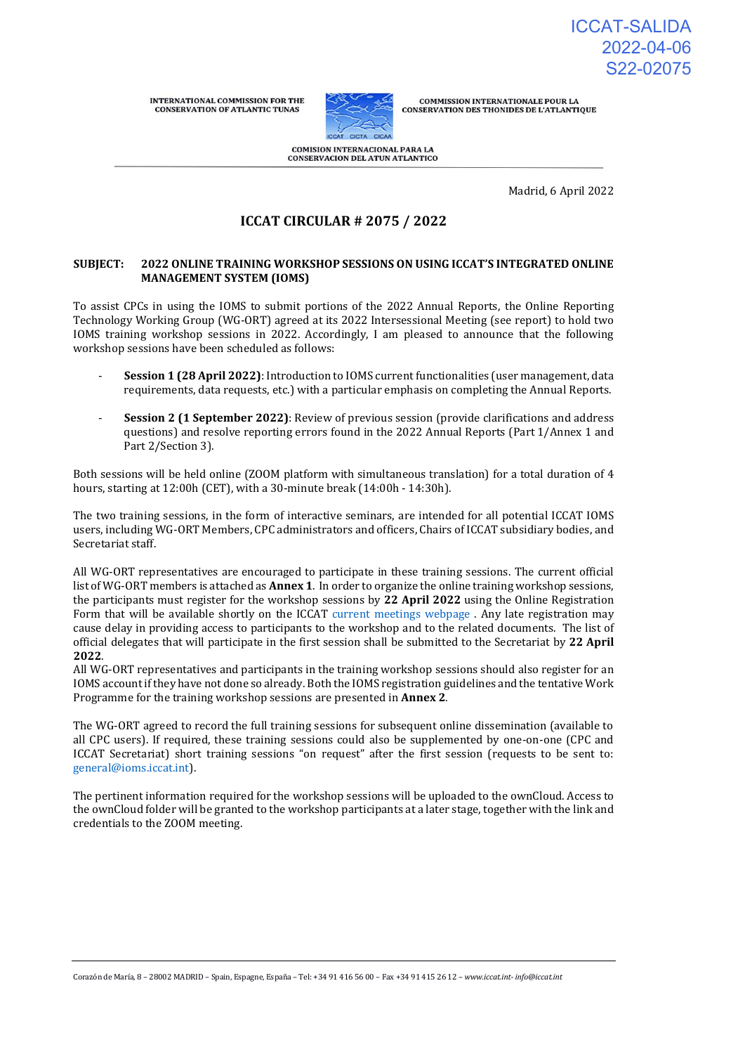**INTERNATIONAL COMMISSION FOR THE CONSERVATION OF ATLANTIC TUNAS** 



COMMISSION INTERNATIONALE POUR LA<br>CONSERVATION DES THONIDES DE L'ATLANTIQUE

**COMISION INTERNACIONAL PARA LA** CONSERVACION DEL ATUN ATLANTICO

Madrid, 6 April 2022

# **ICCAT CIRCULAR # 2075 / 2022**

#### **SUBJECT: 2022 ONLINE TRAINING WORKSHOP SESSIONS ON USING ICCAT'S INTEGRATED ONLINE MANAGEMENT SYSTEM (IOMS)**

To assist CPCs in using the IOMS to submit portions of the 2022 Annual Reports, the Online Reporting Technology Working Group (WG-ORT) agreed at its 2022 Intersessional Meeting [\(see report\)](https://www.iccat.int/Documents/Meetings/Docs/2022/REPORTS/2022_WG_ORT_ENG.pdf) to hold two IOMS training workshop sessions in 2022. Accordingly, I am pleased to announce that the following workshop sessions have been scheduled as follows:

- **Session 1 (28 April 2022)**: Introduction to IOMS current functionalities (user management, data requirements, data requests, etc.) with a particular emphasis on completing the Annual Reports.
- **Session 2 (1 September 2022)**: Review of previous session (provide clarifications and address questions) and resolve reporting errors found in the 2022 Annual Reports (Part 1/Annex 1 and Part 2/Section 3).

Both sessions will be held online (ZOOM platform with simultaneous translation) for a total duration of 4 hours, starting at 12:00h (CET), with a 30-minute break (14:00h - 14:30h).

The two training sessions, in the form of interactive seminars, are intended for all potential ICCAT IOMS users, including WG-ORT Members, CPC administrators and officers, Chairs of ICCAT subsidiary bodies, and Secretariat staff.

All WG-ORT representatives are encouraged to participate in these training sessions. The current official list of WG-ORT members is attached as **Annex 1**. In order to organize the online training workshop sessions, the participants must register for the workshop sessions by **22 April 2022** using the Online Registration Form that will be available shortly on the I[CCAT current meetings webp](https://www.iccat.int/en/Meetings.html)age . Any late registration may cause delay in providing access to participants to the workshop and to the related documents. The list of official delegates that will participate in the first session shall be submitted to the Secretariat by **22 April 2022**.

All WG-ORT representatives and participants in the training workshop sessions should also register for an IOMS account if they have not done so already. Both the IOMS registration guidelines and the tentative Work Programme for the training workshop sessions are presented in **Annex 2**.

The WG-ORT agreed to record the full training sessions for subsequent online dissemination (available to all CPC users). If required, these training sessions could also be supplemented by one-on-one (CPC and ICCAT Secretariat) short training sessions "on request" after the first session (requests to be sent to: [general@ioms.iccat.int\)](mailto:general@ioms.iccat.int).

The pertinent information required for the workshop sessions will be uploaded to the ownCloud. Access to the ownCloud folder will be granted to the workshop participants at a later stage, together with the link and credentials to the ZOOM meeting.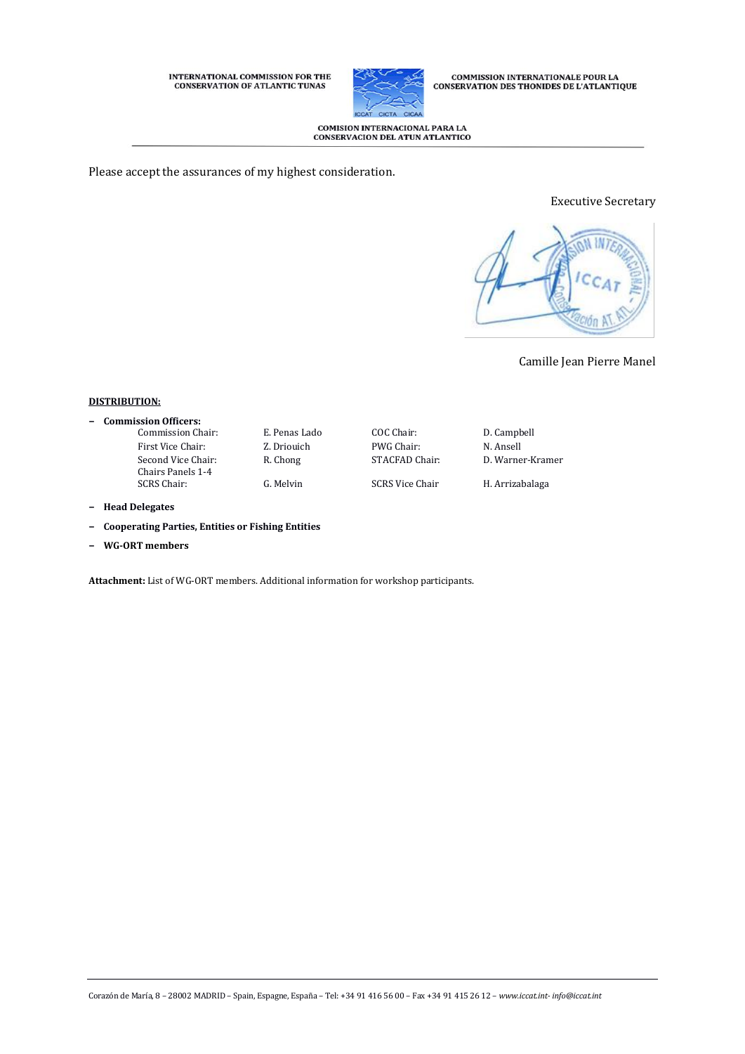# INTERNATIONAL COMMISSION FOR THE CONSERVATION OF ATLANTIC TUNAS



**COMMISSION INTERNATIONALE POUR LA<br>CONSERVATION DES THONIDES DE L'ATLANTIQUE** 

# COMISION INTERNACIONAL PARA LA<br>CONSERVACION DEL ATUN ATLANTICO

Please accept the assurances of my highest consideration.

### Executive Secretary



# Camille Jean Pierre Manel

### **DISTRIBUTION:**

- **− Commission Officers:**
	- First Vice Chair: <br> Z. Driouich PWG Chair: <br> N. Ansell Second Vice Chair: Chairs Panels 1-4

G. Melvin SCRS Vice Chair H. Arrizabalaga

Commission Chair: E. Penas Lado COC Chair: D. Campbell R. Chong STACFAD Chair: D. Warner-Kramer

- **− Head Delegates**
- **− Cooperating Parties, Entities or Fishing Entities**
- **− WG-ORT members**

**Attachment:** List of WG-ORT members. Additional information for workshop participants.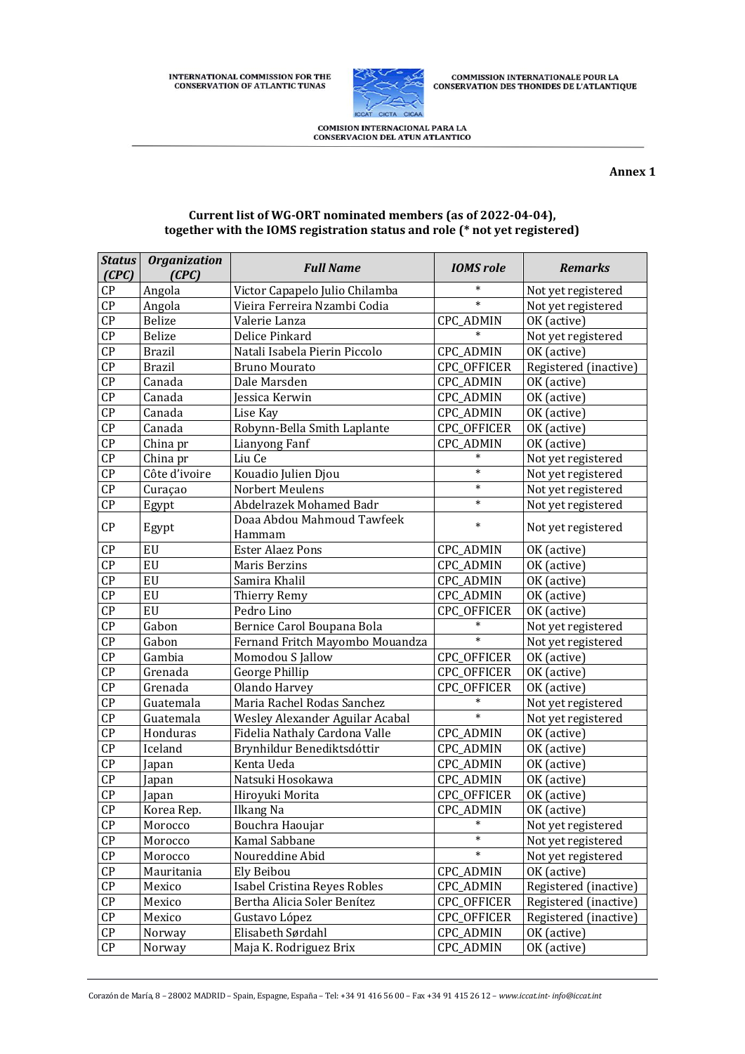**INTERNATIONAL COMMISSION FOR THE CONSERVATION OF ATLANTIC TUNAS** 



**COMMISSION INTERNATIONALE POUR LA CONSERVATION DES THONIDES DE L'ATLANTIQUE** 

**COMISION INTERNACIONAL PARA LA CONSERVACION DEL ATUN ATLANTICO** 

#### **Annex 1**

### *Status (CPC) Organization (CPC)* **Full Name IOMS role** Remarks CP Angola Victor Capapelo Julio Chilamba \* Not yet registered CP Angola Vieira Ferreira Nzambi Codia \* Not yet registered CP Belize | Valerie Lanza | CPC\_ADMIN | OK (active) CP Belize Delice Pinkard \* Not yet registered<br>
CP Brazil Natali Isabela Pierin Piccolo CPC ADMIN OK (active) CP Brazil Natali Isabela Pierin Piccolo CPC\_ADMIN OK (active) CP Brazil Bruno Mourato CPC\_OFFICER Registered (inactive) CP | Canada | Dale Marsden | CPC\_ADMIN | OK (active) CP | Canada | Jessica Kerwin | CPC\_ADMIN | OK (active) CP Canada Lise Kay CPC\_ADMIN OK (active) CP Canada Robynn-Bella Smith Laplante CPC\_OFFICER OK (active) CP China pr Lianyong Fanf CPC\_ADMIN OK (active)<br>
CP China pr Liu Ce <sup>c</sup> and the set of the contract of the contract of the contract of the contract of the contra<br>
CP China pr Liu Ce contract of the contract of the contract CP China pr Liu Ce \* Not yet registered CP Côte d'ivoire Kouadio Julien Djou \* Not yet registered CP Curaçao Norbert Meulens \* Not yet registered Egypt Abdelrazek Mohamed Badr \* Not yet registered CP Egypt Doaa Abdou Mahmoud Tawfeek \* Not yet registered CP EU Ester Alaez Pons CPC\_ADMIN OK (active) CP | EU | Maris Berzins | CPC\_ADMIN | OK (active) CP EU Samira Khalil CPC\_ADMIN OK (active)<br>
CP EU Thierry Remy CPC\_ADMIN OK (active) CP EU Thierry Remy CPC\_ADMIN OK (active) CP EU Pedro Lino CPC OFFICER OK (active) CP Gabon Bernice Carol Boupana Bola \* Not yet registered CP Gabon Fernand Fritch Mayombo Mouandza | \* | Not yet registered CP | Gambia | Momodou S Jallow | CPC OFFICER | OK (active) CP Grenada George Phillip CPC\_OFFICER OK (active) CP Grenada Olando Harvey CPC\_OFFICER OK (active) CP Guatemala Maria Rachel Rodas Sanchez \* Not yet registered CP Guatemala Wesley Alexander Aguilar Acabal \* Not yet registered CP Honduras Fidelia Nathaly Cardona Valle CPC\_ADMIN OK (active) CP Iceland Brynhildur Benediktsdóttir CPC\_ADMIN OK (active) CP | Japan | Kenta Ueda | CPC\_ADMIN | OK (active) CP Japan Natsuki Hosokawa CPC\_ADMIN OK (active) CP Japan Hiroyuki Morita CPC\_OFFICER OK (active) CP | Korea Rep. | Ilkang Na | CPC\_ADMIN | OK (active) CP Morocco Bouchra Haoujar \* Not yet registered CP | Morocco | Kamal Sabbane | \* | Not yet registered CP Morocco Noureddine Abid \* Not yet registered CP Mauritania Ely Beibou CPC\_ADMIN OK (active) CP | Mexico | Isabel Cristina Reyes Robles | CPC\_ADMIN | Registered (inactive) CP Mexico Bertha Alicia Soler Benítez CPC\_OFFICER Registered (inactive) CP | Mexico | Gustavo López | Gustavo CPC OFFICER | Registered (inactive) CP Norway Elisabeth Sørdahl CPC\_ADMIN OK (active) CP Norway Maja K. Rodriguez Brix CPC\_ADMIN OK (active)

#### **Current list of WG-ORT nominated members (as of 2022-04-04), together with the IOMS registration status and role (\* not yet registered)**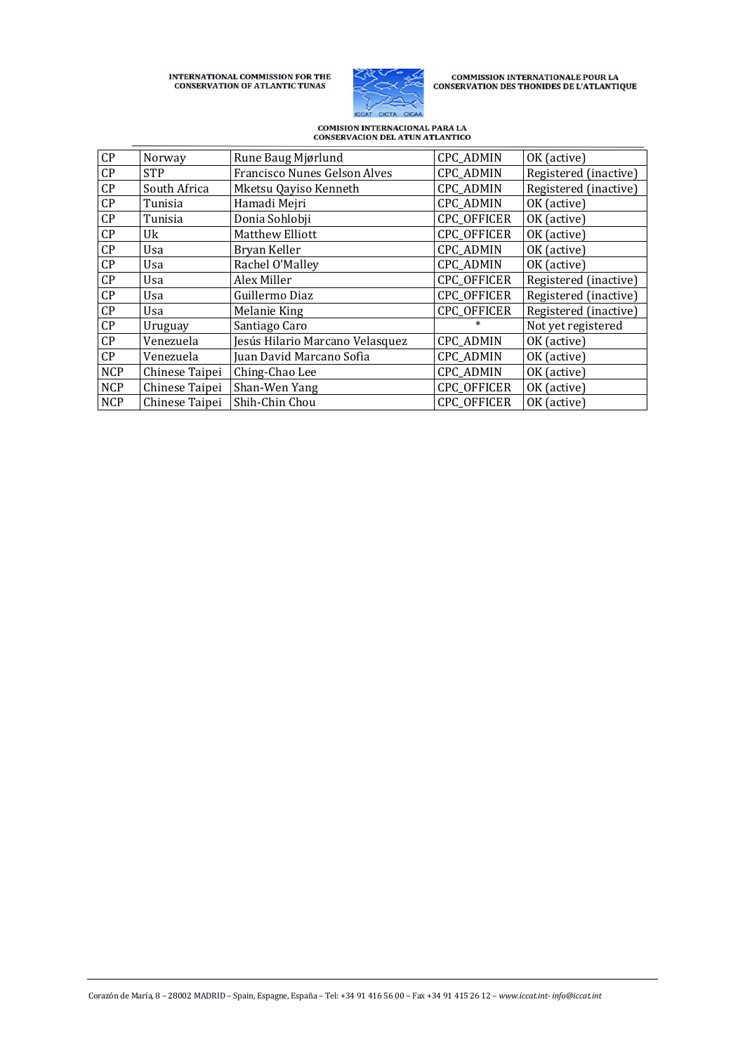INTERNATIONAL COMMISSION FOR THE CONSERVATION OF ATLANTIC TUNAS



 $\begin{array}{c} \textbf{COMMISSION INTERNATIONALE POUR LA}\\ \textbf{CONSERVATION DES THONIDES DE L'ATLANTIQUE} \end{array}$ 

# COMISION INTERNACIONAL PARA LA<br>CONSERVACION DEL ATUN ATLANTICO

| CP                     | Norway         | Rune Baug Mjørlund              | CPC_ADMIN        | OK (active)           |
|------------------------|----------------|---------------------------------|------------------|-----------------------|
| CP                     | <b>STP</b>     | Francisco Nunes Gelson Alves    | <b>CPC_ADMIN</b> | Registered (inactive) |
| CP                     | South Africa   | Mketsu Qayiso Kenneth           | <b>CPC_ADMIN</b> | Registered (inactive) |
| CP                     | Tunisia        | Hamadi Mejri                    | <b>CPC_ADMIN</b> | OK (active)           |
| CP                     | Tunisia        | Donia Sohlobji                  | CPC_OFFICER      | OK (active)           |
| $\mathsf{C}\mathsf{P}$ | Uk             | Matthew Elliott                 | CPC_OFFICER      | OK (active)           |
| CP                     | Usa            | Bryan Keller                    | <b>CPC_ADMIN</b> | OK (active)           |
| CP                     | Usa            | Rachel O'Malley                 | <b>CPC_ADMIN</b> | OK (active)           |
| CP                     | Usa            | Alex Miller                     | CPC_OFFICER      | Registered (inactive) |
| CP                     | Usa            | Guillermo Diaz                  | CPC_OFFICER      | Registered (inactive) |
| CP                     | Usa            | Melanie King                    | CPC_OFFICER      | Registered (inactive) |
| CP                     | Uruguay        | Santiago Caro                   |                  | Not yet registered    |
| CP                     | Venezuela      | Jesús Hilario Marcano Velasquez | <b>CPC_ADMIN</b> | OK (active)           |
| $\mathsf{C}\mathsf{P}$ | Venezuela      | Juan David Marcano Sofia        | CPC_ADMIN        | OK (active)           |
| <b>NCP</b>             | Chinese Taipei | Ching-Chao Lee                  | <b>CPC_ADMIN</b> | OK (active)           |
| <b>NCP</b>             | Chinese Taipei | Shan-Wen Yang                   | CPC_OFFICER      | OK (active)           |
| <b>NCP</b>             | Chinese Taipei | Shih-Chin Chou                  | CPC_OFFICER      | OK (active)           |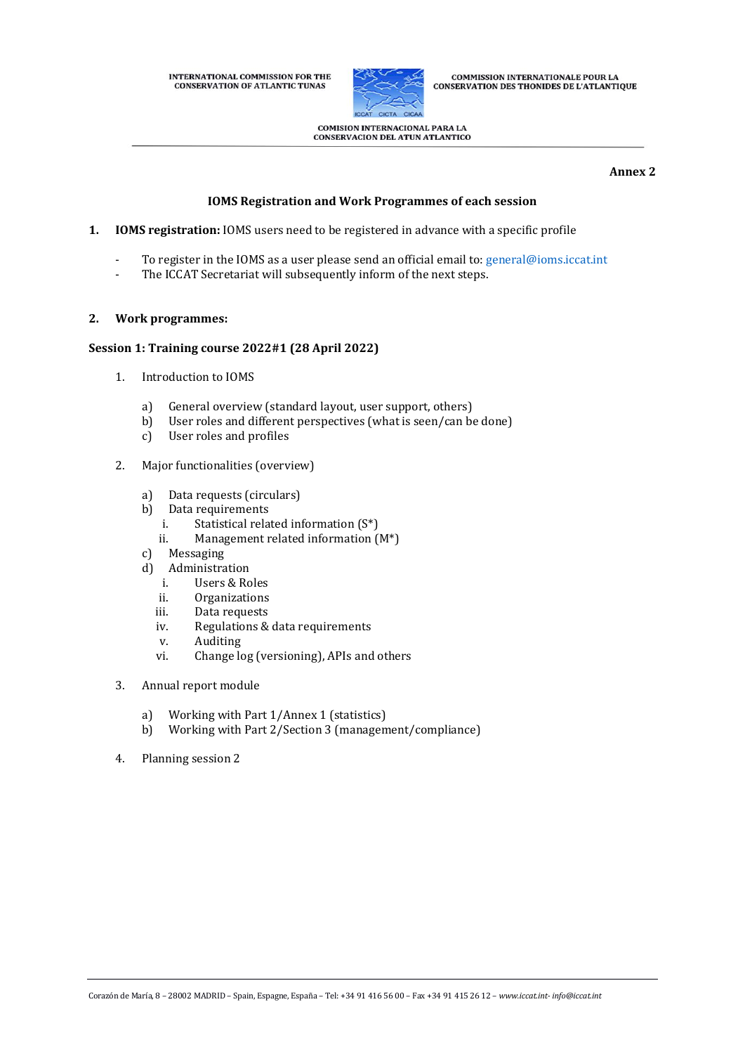INTERNATIONAL COMMISSION FOR THE **CONSERVATION OF ATLANTIC TUNAS** 



**COMMISSION INTERNATIONALE POUR LA** COMMISSION INTERNATIONALLE POOR LA

**COMISION INTERNACIONAL PARA LA CONSERVACION DEL ATUN ATLANTICO** 

#### **Annex 2**

## **IOMS Registration and Work Programmes of each session**

- **1. IOMS registration:** IOMS users need to be registered in advance with a specific profile
	- To register in the IOMS as a user please send an official email to[: general@ioms.iccat.int](mailto:general@ioms.iccat.int)
	- The ICCAT Secretariat will subsequently inform of the next steps.

### **2. Work programmes:**

### **Session 1: Training course 2022#1 (28 April 2022)**

- 1. Introduction to IOMS
	- a) General overview (standard layout, user support, others)
	- b) User roles and different perspectives (what is seen/can be done)
	- c) User roles and profiles
- 2. Major functionalities (overview)
	- a) Data requests (circulars)
	- b) Data requirements
		- i. Statistical related information (S\*)
		- ii. Management related information (M\*)
	- c) Messaging
	- d) Administration
		- i. Users & Roles
		- ii. Organizations
		- iii. Data requests
		- iv. Regulations & data requirements
		- v. Auditing
		- vi. Change log (versioning), APIs and others
- 3. Annual report module
	- a) Working with Part 1/Annex 1 (statistics)
	- b) Working with Part 2/Section 3 (management/compliance)
- 4. Planning session 2